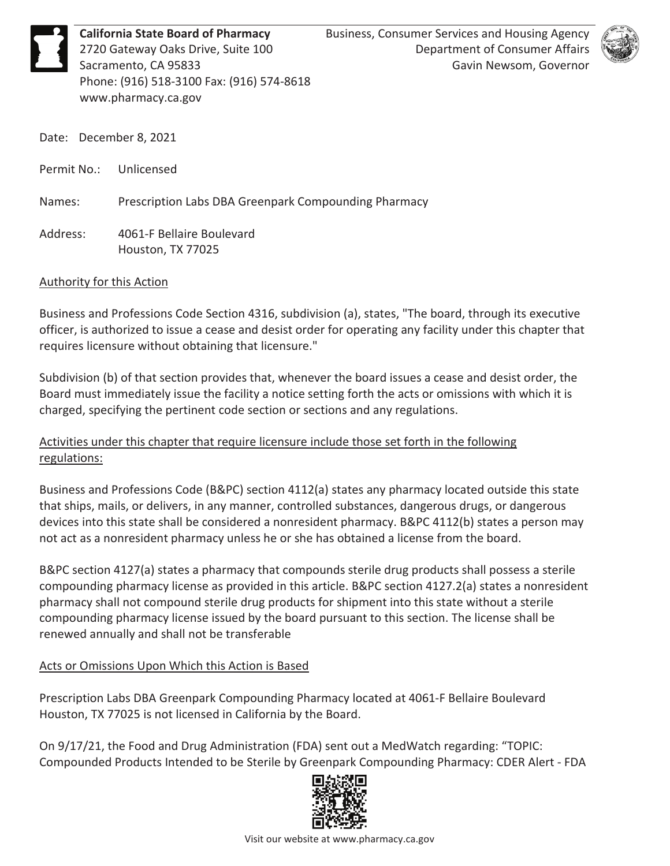**California State Board of Pharmacy** Business, Consumer Services and Housing Agency<br>2720 Gateway Oaks Drive, Suite 100 Department of Consumer Affairs<br>Sacramento, CA 95833 Gavin Newsom, Governor<br>Phone: (916) 518-3100 Fax: ( Phone: (916) 518-3100 Fax: (916) 574-8618 <www.pharmacy.ca.gov>



Date: December 8, 2021

Permit No.: Unlicensed

Names: Prescription Labs DBA Greenpark Compounding Pharmacy

Address: 4061-F Bellaire Boulevard Houston, TX 77025

#### Authority for this Action

Business and Professions Code Section 4316, subdivision (a), states, "The board, through its executive officer, is authorized to issue a cease and desist order for operating any facility under this chapter that requires licensure without obtaining that licensure."

Subdivision (b) of that section provides that, whenever the board issues a cease and desist order, the Board must immediately issue the facility a notice setting forth the acts or omissions with which it is charged, specifying the pertinent code section or sections and any regulations.

## Activities under this chapter that require licensure include those set forth in the following regulations:

 devices into this state shall be considered a nonresident pharmacy. B&PC 4112(b) states a person may not act as a nonresident pharmacy unless he or she has obtained a license from the board. Business and Professions Code (B&PC) section 4112(a) states any pharmacy located outside this state that ships, mails, or delivers, in any manner, controlled substances, dangerous drugs, or dangerous

B&PC section 4127(a) states a pharmacy that compounds sterile drug products shall possess a sterile compounding pharmacy license as provided in this article. B&PC section 4127.2(a) states a nonresident pharmacy shall not compound sterile drug products for shipment into this state without a sterile compounding pharmacy license issued by the board pursuant to this section. The license shall be renewed annually and shall not be transferable

## Acts or Omissions Upon Which this Action is Based

 Houston, TX 77025 is not licensed in California by the Board. Prescription Labs DBA Greenpark Compounding Pharmacy located at 4061-F Bellaire Boulevard

On 9/17/21, the Food and Drug Administration (FDA) sent out a MedWatch regarding: "TOPIC: Compounded Products Intended to be Sterile by Greenpark Compounding Pharmacy: CDER Alert - FDA

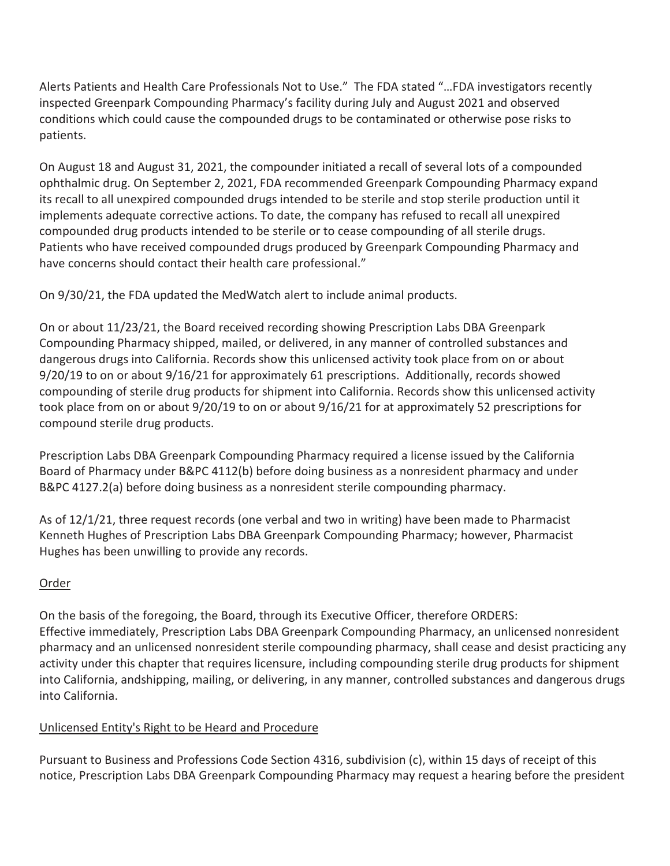Alerts Patients and Health Care Professionals Not to Use." The FDA stated "…FDA investigators recently inspected Greenpark Compounding Pharmacy's facility during July and August 2021 and observed conditions which could cause the compounded drugs to be contaminated or otherwise pose risks to patients.

have concerns should contact their health care professional." On August 18 and August 31, 2021, the compounder initiated a recall of several lots of a compounded ophthalmic drug. On September 2, 2021, FDA recommended Greenpark Compounding Pharmacy expand its recall to all unexpired compounded drugs intended to be sterile and stop sterile production until it implements adequate corrective actions. To date, the company has refused to recall all unexpired compounded drug products intended to be sterile or to cease compounding of all sterile drugs. Patients who have received compounded drugs produced by Greenpark Compounding Pharmacy and

have concerns should contact their health care professional."<br>On 9/30/21, the FDA updated the MedWatch alert to include animal products.

compound sterile drug products. On or about 11/23/21, the Board received recording showing Prescription Labs DBA Greenpark Compounding Pharmacy shipped, mailed, or delivered, in any manner of controlled substances and dangerous drugs into California. Records show this unlicensed activity took place from on or about 9/20/19 to on or about 9/16/21 for approximately 61 prescriptions. Additionally, records showed compounding of sterile drug products for shipment into California. Records show this unlicensed activity took place from on or about 9/20/19 to on or about 9/16/21 for at approximately 52 prescriptions for

Prescription Labs DBA Greenpark Compounding Pharmacy required a license issued by the California Board of Pharmacy under B&PC 4112(b) before doing business as a nonresident pharmacy and under B&PC 4127.2(a) before doing business as a nonresident sterile compounding pharmacy.

 As of 12/1/21, three request records (one verbal and two in writing) have been made to Pharmacist Kenneth Hughes of Prescription Labs DBA Greenpark Compounding Pharmacy; however, Pharmacist Hughes has been unwilling to provide any records.

## Order

 pharmacy and an unlicensed nonresident sterile compounding pharmacy, shall cease and desist practicing any into California, andshipping, mailing, or delivering, in any manner, controlled substances and dangerous drugs On the basis of the foregoing, the Board, through its Executive Officer, therefore ORDERS: Effective immediately, Prescription Labs DBA Greenpark Compounding Pharmacy, an unlicensed nonresident activity under this chapter that requires licensure, including compounding sterile drug products for shipment into California.

## Unlicensed Entity's Right to be Heard and Procedure

Pursuant to Business and Professions Code Section 4316, subdivision (c), within 15 days of receipt of this notice, Prescription Labs DBA Greenpark Compounding Pharmacy may request a hearing before the president